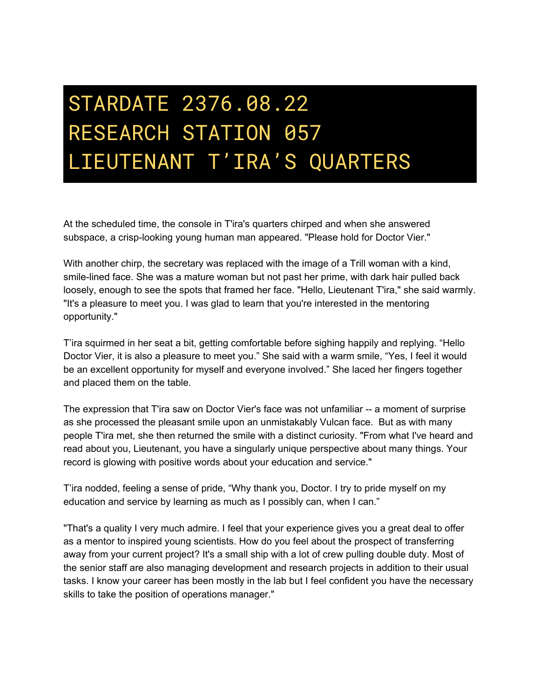## STARDATE 2376.08.22 RESEARCH STATION 057 LIEUTENANT T'IRA'S QUARTERS

At the scheduled time, the console in T'ira's quarters chirped and when she answered subspace, a crisp-looking young human man appeared. "Please hold for Doctor Vier."

With another chirp, the secretary was replaced with the image of a Trill woman with a kind, smile-lined face. She was a mature woman but not past her prime, with dark hair pulled back loosely, enough to see the spots that framed her face. "Hello, Lieutenant T'ira," she said warmly. "It's a pleasure to meet you. I was glad to learn that you're interested in the mentoring opportunity."

T'ira squirmed in her seat a bit, getting comfortable before sighing happily and replying. "Hello Doctor Vier, it is also a pleasure to meet you." She said with a warm smile, "Yes, I feel it would be an excellent opportunity for myself and everyone involved." She laced her fingers together and placed them on the table.

The expression that T'ira saw on Doctor Vier's face was not unfamiliar -- a moment of surprise as she processed the pleasant smile upon an unmistakably Vulcan face. But as with many people T'ira met, she then returned the smile with a distinct curiosity. "From what I've heard and read about you, Lieutenant, you have a singularly unique perspective about many things. Your record is glowing with positive words about your education and service."

T'ira nodded, feeling a sense of pride, "Why thank you, Doctor. I try to pride myself on my education and service by learning as much as I possibly can, when I can."

"That's a quality I very much admire. I feel that your experience gives you a great deal to offer as a mentor to inspired young scientists. How do you feel about the prospect of transferring away from your current project? It's a small ship with a lot of crew pulling double duty. Most of the senior staff are also managing development and research projects in addition to their usual tasks. I know your career has been mostly in the lab but I feel confident you have the necessary skills to take the position of operations manager."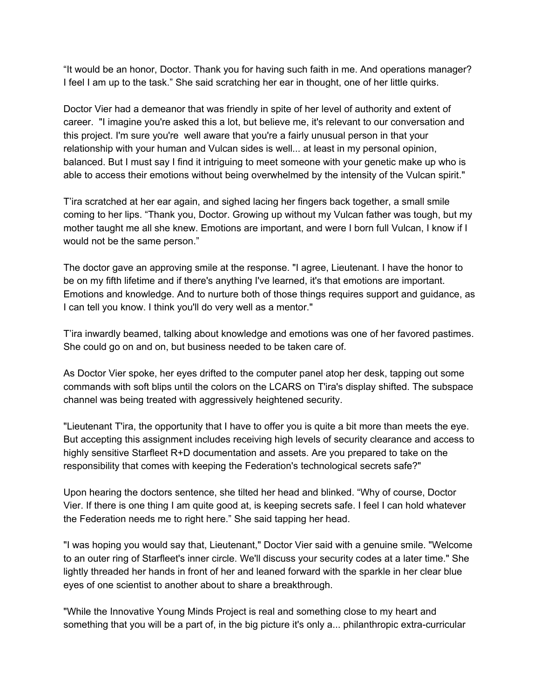"It would be an honor, Doctor. Thank you for having such faith in me. And operations manager? I feel I am up to the task." She said scratching her ear in thought, one of her little quirks.

Doctor Vier had a demeanor that was friendly in spite of her level of authority and extent of career. "I imagine you're asked this a lot, but believe me, it's relevant to our conversation and this project. I'm sure you're well aware that you're a fairly unusual person in that your relationship with your human and Vulcan sides is well... at least in my personal opinion, balanced. But I must say I find it intriguing to meet someone with your genetic make up who is able to access their emotions without being overwhelmed by the intensity of the Vulcan spirit."

T'ira scratched at her ear again, and sighed lacing her fingers back together, a small smile coming to her lips. "Thank you, Doctor. Growing up without my Vulcan father was tough, but my mother taught me all she knew. Emotions are important, and were I born full Vulcan, I know if I would not be the same person."

The doctor gave an approving smile at the response. "I agree, Lieutenant. I have the honor to be on my fifth lifetime and if there's anything I've learned, it's that emotions are important. Emotions and knowledge. And to nurture both of those things requires support and guidance, as I can tell you know. I think you'll do very well as a mentor."

T'ira inwardly beamed, talking about knowledge and emotions was one of her favored pastimes. She could go on and on, but business needed to be taken care of.

As Doctor Vier spoke, her eyes drifted to the computer panel atop her desk, tapping out some commands with soft blips until the colors on the LCARS on T'ira's display shifted. The subspace channel was being treated with aggressively heightened security.

"Lieutenant T'ira, the opportunity that I have to offer you is quite a bit more than meets the eye. But accepting this assignment includes receiving high levels of security clearance and access to highly sensitive Starfleet R+D documentation and assets. Are you prepared to take on the responsibility that comes with keeping the Federation's technological secrets safe?"

Upon hearing the doctors sentence, she tilted her head and blinked. "Why of course, Doctor Vier. If there is one thing I am quite good at, is keeping secrets safe. I feel I can hold whatever the Federation needs me to right here." She said tapping her head.

"I was hoping you would say that, Lieutenant," Doctor Vier said with a genuine smile. "Welcome to an outer ring of Starfleet's inner circle. We'll discuss your security codes at a later time." She lightly threaded her hands in front of her and leaned forward with the sparkle in her clear blue eyes of one scientist to another about to share a breakthrough.

"While the Innovative Young Minds Project is real and something close to my heart and something that you will be a part of, in the big picture it's only a... philanthropic extra-curricular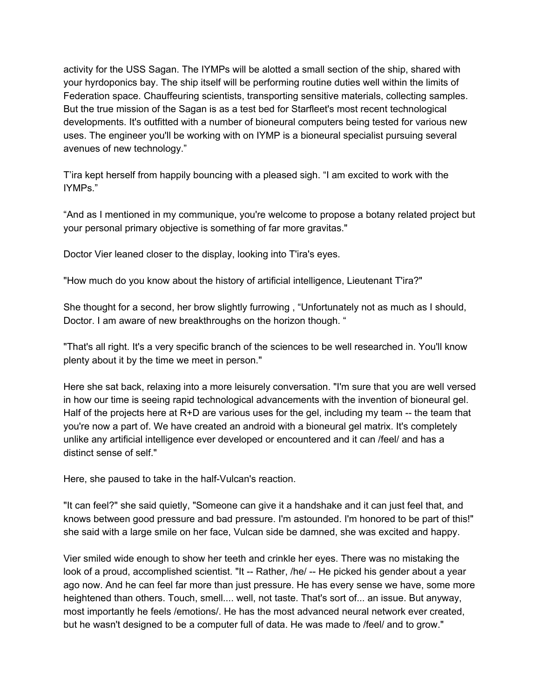activity for the USS Sagan. The IYMPs will be alotted a small section of the ship, shared with your hyrdoponics bay. The ship itself will be performing routine duties well within the limits of Federation space. Chauffeuring scientists, transporting sensitive materials, collecting samples. But the true mission of the Sagan is as a test bed for Starfleet's most recent technological developments. It's outfitted with a number of bioneural computers being tested for various new uses. The engineer you'll be working with on IYMP is a bioneural specialist pursuing several avenues of new technology."

T'ira kept herself from happily bouncing with a pleased sigh. "I am excited to work with the IYMPs."

"And as I mentioned in my communique, you're welcome to propose a botany related project but your personal primary objective is something of far more gravitas."

Doctor Vier leaned closer to the display, looking into T'ira's eyes.

"How much do you know about the history of artificial intelligence, Lieutenant T'ira?"

She thought for a second, her brow slightly furrowing , "Unfortunately not as much as I should, Doctor. I am aware of new breakthroughs on the horizon though. "

"That's all right. It's a very specific branch of the sciences to be well researched in. You'll know plenty about it by the time we meet in person."

Here she sat back, relaxing into a more leisurely conversation. "I'm sure that you are well versed in how our time is seeing rapid technological advancements with the invention of bioneural gel. Half of the projects here at  $R+D$  are various uses for the gel, including my team  $-$  the team that you're now a part of. We have created an android with a bioneural gel matrix. It's completely unlike any artificial intelligence ever developed or encountered and it can /feel/ and has a distinct sense of self."

Here, she paused to take in the half-Vulcan's reaction.

"It can feel?" she said quietly, "Someone can give it a handshake and it can just feel that, and knows between good pressure and bad pressure. I'm astounded. I'm honored to be part of this!" she said with a large smile on her face, Vulcan side be damned, she was excited and happy.

Vier smiled wide enough to show her teeth and crinkle her eyes. There was no mistaking the look of a proud, accomplished scientist. "It -- Rather, /he/ -- He picked his gender about a year ago now. And he can feel far more than just pressure. He has every sense we have, some more heightened than others. Touch, smell.... well, not taste. That's sort of... an issue. But anyway, most importantly he feels /emotions/. He has the most advanced neural network ever created, but he wasn't designed to be a computer full of data. He was made to /feel/ and to grow."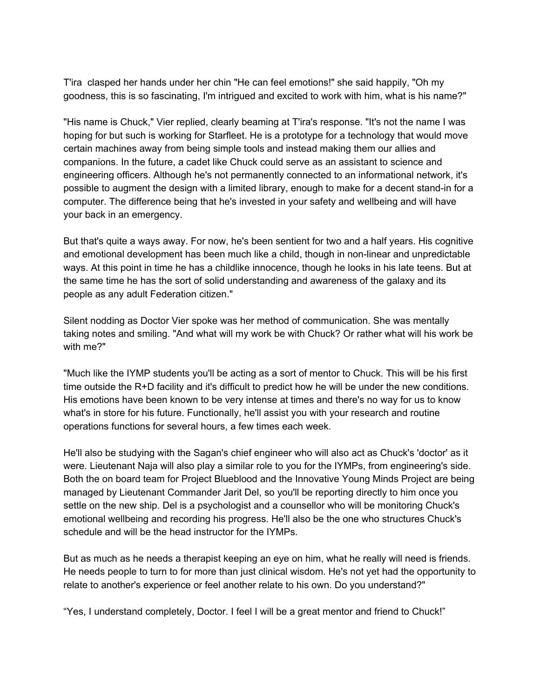T'ira clasped her hands under her chin "He can feel emotions!" she said happily, "Oh my goodness, this is so fascinating, I'm intrigued and excited to work with him, what is his name?"

"His name is Chuck," Vier replied, clearly beaming at T'ira's response. "It's not the name I was hoping for but such is working for Starfleet. He is a prototype for a technology that would move certain machines away from being simple tools and instead making them our allies and companions. In the future, a cadet like Chuck could serve as an assistant to science and engineering officers. Although he's not permanently connected to an informational network, it's possible to augment the design with a limited library, enough to make for a decent stand-in for a computer. The difference being that he's invested in your safety and wellbeing and will have your back in an emergency.

But that's quite a ways away. For now, he's been sentient for two and a half years. His cognitive and emotional development has been much like a child, though in non-linear and unpredictable ways. At this point in time he has a childlike innocence, though he looks in his late teens. But at the same time he has the sort of solid understanding and awareness of the galaxy and its people as any adult Federation citizen."

Silent nodding as Doctor Vier spoke was her method of communication. She was mentally taking notes and smiling. "And what will my work be with Chuck? Or rather what will his work be with me?"

"Much like the IYMP students you'll be acting as a sort of mentor to Chuck. This will be his first time outside the R+D facility and it's difficult to predict how he will be under the new conditions. His emotions have been known to be very intense at times and there's no way for us to know what's in store for his future. Functionally, he'll assist you with your research and routine operations functions for several hours, a few times each week.

He'll also be studying with the Sagan's chief engineer who will also act as Chuck's 'doctor' as it were. Lieutenant Naja will also play a similar role to you for the IYMPs, from engineering's side. Both the on board team for Project Blueblood and the Innovative Young Minds Project are being managed by Lieutenant Commander Jarit Del, so you'll be reporting directly to him once you settle on the new ship. Del is a psychologist and a counsellor who will be monitoring Chuck's emotional wellbeing and recording his progress. He'll also be the one who structures Chuck's schedule and will be the head instructor for the IYMPs.

But as much as he needs a therapist keeping an eye on him, what he really will need is friends. He needs people to turn to for more than just clinical wisdom. He's not yet had the opportunity to relate to another's experience or feel another relate to his own. Do you understand?"

"Yes, I understand completely, Doctor. I feel I will be a great mentor and friend to Chuck!"